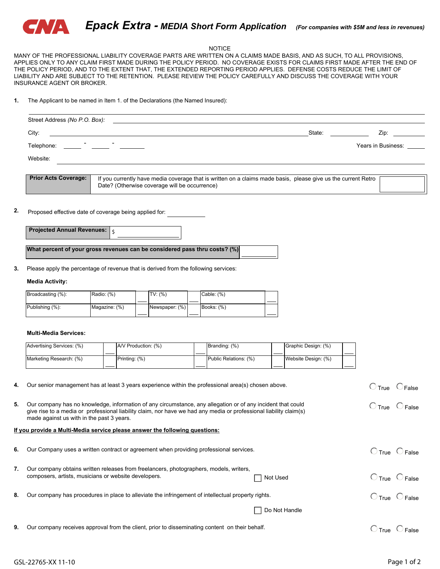

#### NOTICE

MANY OF THE PROFESSIONAL LIABILITY COVERAGE PARTS ARE WRITTEN ON A CLAIMS MADE BASIS, AND AS SUCH, TO ALL PROVISIONS, APPLIES ONLY TO ANY CLAIM FIRST MADE DURING THE POLICY PERIOD. NO COVERAGE EXISTS FOR CLAIMS FIRST MADE AFTER THE END OF THE POLICY PERIOD, AND TO THE EXTENT THAT, THE EXTENDED REPORTING PERIOD APPLIES. DEFENSE COSTS REDUCE THE LIMIT OF LIABILITY AND ARE SUBJECT TO THE RETENTION. PLEASE REVIEW THE POLICY CAREFULLY AND DISCUSS THE COVERAGE WITH YOUR INSURANCE AGENT OR BROKER.

**1.** The Applicant to be named in Item 1. of the Declarations (the Named Insured):

| Street Address (No P.O. Box): |                                                                                                                                                                |                    |
|-------------------------------|----------------------------------------------------------------------------------------------------------------------------------------------------------------|--------------------|
| City:                         | State:                                                                                                                                                         | Zip:               |
| Telephone:                    |                                                                                                                                                                | Years in Business: |
| Website:                      |                                                                                                                                                                |                    |
|                               |                                                                                                                                                                |                    |
| <b>Prior Acts Coverage:</b>   | If you currently have media coverage that is written on a claims made basis, please give us the current Retro<br>Date? (Otherwise coverage will be occurrence) |                    |

#### **2.** Proposed effective date of coverage being applied for:

| <b>Projected Annual Revenues:</b> |  |
|-----------------------------------|--|
|-----------------------------------|--|

**What percent of your gross revenues can be considered pass thru costs? (%)**

Please apply the percentage of revenue that is derived from the following services: **3.**

#### **Media Activity:**

| Broadcasting (%): | Radio: $(\%)$ | TV: (% )       | Cable: $(\%)$ |  |
|-------------------|---------------|----------------|---------------|--|
|                   |               |                |               |  |
| Publishing (%):   | Magazine: (%) | Newspaper: (%) | Books: (%)    |  |
|                   |               |                |               |  |

#### **Multi-Media Services:**

| Advertising Services: (%) |  | A/V Production: (%) | Branding: (%)         |  | Graphic Design: (%) |  |
|---------------------------|--|---------------------|-----------------------|--|---------------------|--|
|                           |  |                     |                       |  |                     |  |
| Marketing Research: (%)   |  | Printing: (%)       | Public Relations: (%) |  | Website Design: (%) |  |
|                           |  |                     |                       |  |                     |  |

**4.** Our senior management has at least 3 years experience within the professional area(s) chosen above.

**5.**  $C$ True  $C$  False Our company has no knowledge, information of any circumstance, any allegation or of any incident that could give rise to a media or professional liability claim, nor have we had any media or professional liability claim(s) made against us with in the past 3 years.

### **If you provide a Multi-Media service please answer the following questions:**

| 6. | Our Company uses a written contract or agreement when providing professional services.                                                                     | True                             | False |
|----|------------------------------------------------------------------------------------------------------------------------------------------------------------|----------------------------------|-------|
|    | Our company obtains written releases from freelancers, photographers, models, writers,<br>composers, artists, musicians or website developers.<br>Not Used | $\bigcirc$ True $\bigcirc$ False |       |
| 8. | Our company has procedures in place to alleviate the infringement of intellectual property rights.                                                         | $C$ True $C$ False               |       |
|    | Do Not Handle                                                                                                                                              |                                  |       |

**9.** Our company receives approval from the client, prior to disseminating content on their behalf.

 $C$ True  $C$  False

 $C$ True  $C$  False